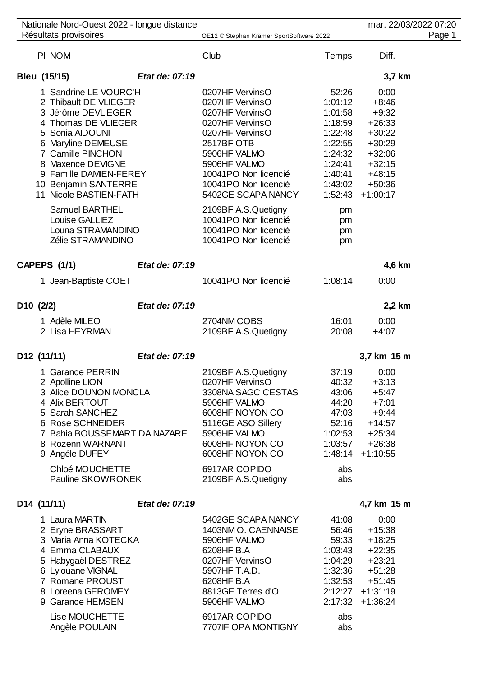|           | Nationale Nord-Ouest 2022 - longue distance<br>Résultats provisoires                                                                                                                                                                                       |                | OE12 © Stephan Krämer SportSoftware 2022                                                                                                                                                                        |                                                                                                          | mar. 22/03/2022 07:20                                                                                                                 | Page 1 |
|-----------|------------------------------------------------------------------------------------------------------------------------------------------------------------------------------------------------------------------------------------------------------------|----------------|-----------------------------------------------------------------------------------------------------------------------------------------------------------------------------------------------------------------|----------------------------------------------------------------------------------------------------------|---------------------------------------------------------------------------------------------------------------------------------------|--------|
|           |                                                                                                                                                                                                                                                            |                |                                                                                                                                                                                                                 |                                                                                                          |                                                                                                                                       |        |
|           | PI NOM                                                                                                                                                                                                                                                     |                | Club                                                                                                                                                                                                            | Temps                                                                                                    | Diff.                                                                                                                                 |        |
|           | Bleu (15/15)                                                                                                                                                                                                                                               | Etat de: 07:19 |                                                                                                                                                                                                                 |                                                                                                          | 3,7 km                                                                                                                                |        |
|           | 1 Sandrine LE VOURC'H<br>2 Thibault DE VLIEGER<br>3 Jérôme DEVLIEGER<br>4 Thomas DE VLIEGER<br>5 Sonia AIDOUNI<br>6 Maryline DEMEUSE<br>7 Camille PINCHON<br>8 Maxence DEVIGNE<br>9 Famille DAMIEN-FEREY<br>10 Benjamin SANTERRE<br>11 Nicole BASTIEN-FATH |                | 0207HF VervinsO<br>0207HF VervinsO<br>0207HF VervinsO<br>0207HF VervinsO<br>0207HF VervinsO<br>2517BF OTB<br>5906HF VALMO<br>5906HF VALMO<br>10041PO Non licencié<br>10041PO Non licencié<br>5402GE SCAPA NANCY | 52:26<br>1:01:12<br>1:01:58<br>1:18:59<br>1:22:48<br>1:22:55<br>1:24:32<br>1:24:41<br>1:40:41<br>1:43:02 | 0:00<br>$+8:46$<br>$+9:32$<br>$+26:33$<br>$+30:22$<br>$+30:29$<br>$+32:06$<br>$+32:15$<br>$+48:15$<br>$+50:36$<br>$1:52:43 + 1:00:17$ |        |
|           | Samuel BARTHEL<br>Louise GALLIEZ<br>Louna STRAMANDINO<br>Zélie STRAMANDINO                                                                                                                                                                                 |                | 2109BF A.S.Quetigny<br>10041PO Non licencié<br>10041PO Non licencié<br>10041PO Non licencié                                                                                                                     | pm<br>pm<br>pm<br>pm                                                                                     |                                                                                                                                       |        |
|           | <b>CAPEPS (1/1)</b>                                                                                                                                                                                                                                        | Etat de: 07:19 |                                                                                                                                                                                                                 |                                                                                                          | 4,6 km                                                                                                                                |        |
|           | 1 Jean-Baptiste COET                                                                                                                                                                                                                                       |                | 10041PO Non licencié                                                                                                                                                                                            | 1:08:14                                                                                                  | 0:00                                                                                                                                  |        |
| D10 (2/2) |                                                                                                                                                                                                                                                            | Etat de: 07:19 |                                                                                                                                                                                                                 |                                                                                                          | 2,2 km                                                                                                                                |        |
|           | 1 Adèle MILEO<br>2 Lisa HEYRMAN                                                                                                                                                                                                                            |                | 2704NM COBS<br>2109BF A.S.Quetigny                                                                                                                                                                              | 16:01<br>20:08                                                                                           | 0:00<br>$+4:07$                                                                                                                       |        |
|           | D12 (11/11)                                                                                                                                                                                                                                                | Etat de: 07:19 |                                                                                                                                                                                                                 |                                                                                                          | 3,7 km 15 m                                                                                                                           |        |
|           | 1 Garance PERRIN<br>2 Apolline LION<br>3 Alice DOUNON MONCLA<br>4 Alix BERTOUT<br>5 Sarah SANCHEZ<br>6 Rose SCHNEIDER<br>7 Bahia BOUSSEMART DA NAZARE<br>8 Rozenn WARNANT<br>9 Angéle DUFEY                                                                |                | 2109BF A.S.Quetigny<br>0207HF VervinsO<br>3308NA SAGC CESTAS<br>5906HF VALMO<br>6008HF NOYON CO<br>5116GE ASO Sillery<br>5906HF VALMO<br>6008HF NOYON CO<br>6008HF NOYON CO                                     | 37:19<br>40:32<br>43:06<br>44:20<br>47:03<br>52:16<br>1:02:53<br>1:03:57                                 | 0:00<br>$+3:13$<br>$+5:47$<br>$+7:01$<br>$+9:44$<br>$+14:57$<br>$+25:34$<br>$+26:38$<br>$1:48:14 + 1:10:55$                           |        |
|           | Chloé MOUCHETTE<br>Pauline SKOWRONEK                                                                                                                                                                                                                       |                | 6917AR COPIDO<br>2109BF A.S.Quetigny                                                                                                                                                                            | abs<br>abs                                                                                               |                                                                                                                                       |        |
|           | D14 (11/11)                                                                                                                                                                                                                                                | Etat de: 07:19 |                                                                                                                                                                                                                 |                                                                                                          | 4,7 km 15 m                                                                                                                           |        |
|           | 1 Laura MARTIN<br>2 Eryne BRASSART<br>3 Maria Anna KOTECKA<br>4 Emma CLABAUX<br>5 Habygaël DESTREZ<br>6 Lylouane VIGNAL<br>7 Romane PROUST<br>8 Loreena GEROMEY<br>9 Garance HEMSEN<br>Lise MOUCHETTE<br>Angèle POULAIN                                    |                | 5402GE SCAPA NANCY<br>1403NM O. CAENNAISE<br>5906HF VALMO<br>6208HF B.A<br>0207HF VervinsO<br>5907HF T.A.D.<br>6208HF B.A<br>8813GE Terres d'O<br>5906HF VALMO<br>6917AR COPIDO<br>7707IF OPA MONTIGNY          | 41:08<br>56:46<br>59:33<br>1:03:43<br>1:04:29<br>1:32:36<br>1:32:53<br>abs<br>abs                        | 0:00<br>$+15:38$<br>$+18:25$<br>$+22:35$<br>$+23:21$<br>$+51:28$<br>$+51:45$<br>$2:12:27$ +1:31:19<br>$2:17:32 + 1:36:24$             |        |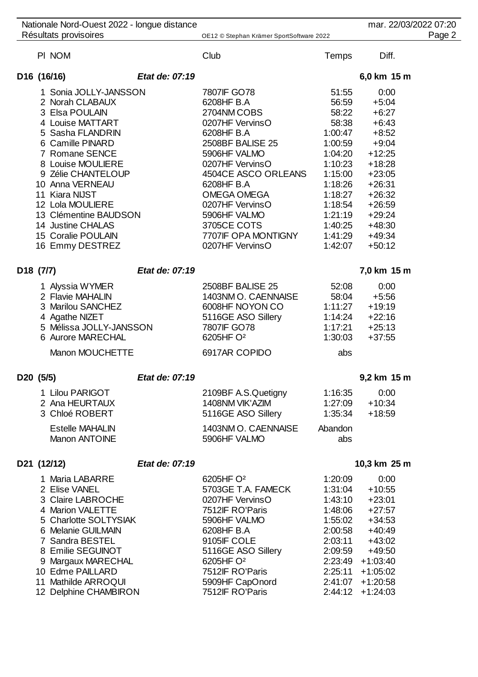|           | Nationale Nord-Ouest 2022 - longue distance<br>Résultats provisoires |                | OE12 © Stephan Krämer SportSoftware 2022 |              | mar. 22/03/2022 07:20<br>Page 2 |
|-----------|----------------------------------------------------------------------|----------------|------------------------------------------|--------------|---------------------------------|
|           |                                                                      |                |                                          |              |                                 |
|           | PI NOM                                                               |                | Club                                     | <b>Temps</b> | Diff.                           |
|           | D16 (16/16)                                                          | Etat de: 07:19 |                                          |              | 6,0 km 15 m                     |
|           | 1 Sonia JOLLY-JANSSON                                                |                | 7807IF GO78                              | 51:55        | 0:00                            |
|           | 2 Norah CLABAUX                                                      |                | 6208HF B.A                               | 56:59        | $+5:04$                         |
|           | 3 Elsa POULAIN                                                       |                | 2704NM COBS                              | 58:22        | $+6:27$                         |
|           | 4 Louise MATTART                                                     |                | 0207HF VervinsO                          | 58:38        | $+6:43$                         |
|           | 5 Sasha FLANDRIN                                                     |                | 6208HF B.A                               | 1:00:47      | $+8:52$                         |
|           | 6 Camille PINARD                                                     |                | 2508BF BALISE 25                         | 1:00:59      | $+9:04$                         |
|           | 7 Romane SENCE                                                       |                | 5906HF VALMO                             | 1:04:20      | $+12:25$                        |
|           | 8 Louise MOULIERE                                                    |                | 0207HF VervinsO                          | 1:10:23      | $+18:28$                        |
|           | 9 Zélie CHANTELOUP                                                   |                | 4504CE ASCO ORLEANS                      | 1:15:00      | $+23:05$                        |
|           | 10 Anna VERNEAU                                                      |                | 6208HF B.A                               | 1:18:26      | $+26:31$                        |
|           | 11 Kiara NIJST                                                       |                | OMEGA OMEGA                              | 1:18:27      | $+26:32$                        |
|           | 12 Lola MOULIERE                                                     |                | 0207HF VervinsO                          | 1:18:54      | $+26:59$                        |
|           | 13 Clémentine BAUDSON                                                |                | 5906HF VALMO                             | 1:21:19      | $+29:24$                        |
|           | 14 Justine CHALAS                                                    |                | 3705CE COTS                              | 1:40:25      | $+48:30$                        |
|           | 15 Coralie POULAIN                                                   |                | 7707IF OPA MONTIGNY                      | 1:41:29      | $+49:34$                        |
|           | 16 Emmy DESTREZ                                                      |                | 0207HF VervinsO                          | 1:42:07      | $+50:12$                        |
|           |                                                                      |                |                                          |              |                                 |
| D18 (7/7) |                                                                      | Etat de: 07:19 |                                          |              | 7,0 km 15 m                     |
|           | 1 Alyssia WYMER                                                      |                | 2508BF BALISE 25                         | 52:08        | 0:00                            |
|           | 2 Flavie MAHALIN                                                     |                | 1403NM O. CAENNAISE                      | 58:04        | $+5:56$                         |
|           | 3 Marilou SANCHEZ                                                    |                | 6008HF NOYON CO                          | 1:11:27      | $+19:19$                        |
|           | 4 Agathe NIZET                                                       |                | 5116GE ASO Sillery                       | 1:14:24      | $+22:16$                        |
|           | 5 Mélissa JOLLY-JANSSON                                              |                | 7807IF GO78                              | 1:17:21      | $+25:13$                        |
|           | 6 Aurore MARECHAL                                                    |                | 6205HF O <sup>2</sup>                    | 1:30:03      | $+37:55$                        |
|           |                                                                      |                |                                          |              |                                 |
|           | Manon MOUCHETTE                                                      |                | 6917AR COPIDO                            | abs          |                                 |
| D20 (5/5) |                                                                      | Etat de: 07:19 |                                          |              | 9,2 km 15 m                     |
|           | 1 Lilou PARIGOT                                                      |                | 2109BF A.S.Quetigny                      | 1:16:35      | 0:00                            |
|           | 2 Ana HEURTAUX                                                       |                | 1408NM VIK'AZIM                          | 1:27:09      | $+10:34$                        |
|           | 3 Chloé ROBERT                                                       |                | 5116GE ASO Sillery                       | 1:35:34      | $+18:59$                        |
|           | <b>Estelle MAHALIN</b>                                               |                | 1403NM O. CAENNAISE                      | Abandon      |                                 |
|           | <b>Manon ANTOINE</b>                                                 |                | 5906HF VALMO                             | abs          |                                 |
|           |                                                                      |                |                                          |              |                                 |
|           | D21 (12/12)                                                          | Etat de: 07:19 |                                          |              | 10,3 km 25 m                    |
|           | 1 Maria LABARRE                                                      |                | 6205HF O <sup>2</sup>                    | 1:20:09      | 0:00                            |
|           | 2 Elise VANEL                                                        |                | 5703GE T.A. FAMECK                       | 1:31:04      | $+10:55$                        |
|           | 3 Claire LABROCHE                                                    |                | 0207HF VervinsO                          | 1:43:10      | $+23:01$                        |
|           | 4 Marion VALETTE                                                     |                | 7512IF RO'Paris                          | 1:48:06      | $+27:57$                        |
|           | 5 Charlotte SOLTYSIAK                                                |                | 5906HF VALMO                             | 1:55:02      | $+34:53$                        |
|           | 6 Melanie GUILMAIN                                                   |                | 6208HF B.A                               | 2:00:58      | $+40:49$                        |
|           | 7 Sandra BESTEL                                                      |                | 9105IF COLE                              | 2:03:11      | $+43:02$                        |
|           | 8 Emilie SEGUINOT                                                    |                | 5116GE ASO Sillery                       | 2:09:59      | $+49:50$                        |
|           | 9 Margaux MARECHAL                                                   |                | 6205HF O <sup>2</sup>                    |              | $2:23:49$ +1:03:40              |
|           | 10 Edme PAILLARD                                                     |                | 7512IF RO'Paris                          | 2:25:11      | $+1:05:02$                      |
|           | 11 Mathilde ARROQUI                                                  |                | 5909HF CapOnord                          | 2:41:07      | $+1:20:58$                      |
|           | 12 Delphine CHAMBIRON                                                |                | 7512IF RO'Paris                          | 2:44:12      | $+1:24:03$                      |
|           |                                                                      |                |                                          |              |                                 |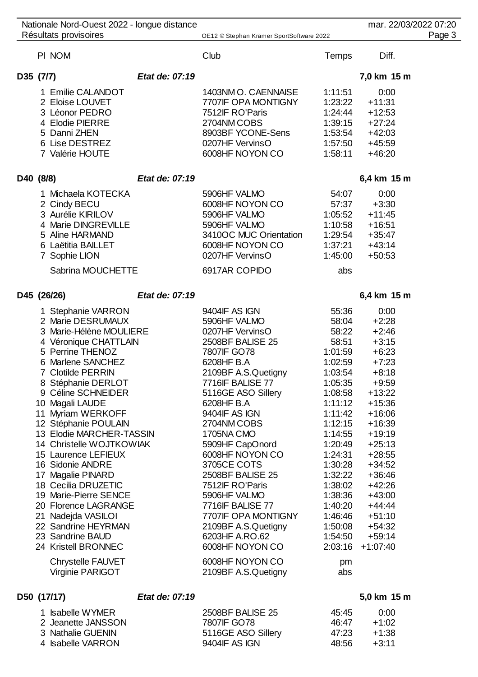| Nationale Nord-Ouest 2022 - longue distance |                |                                          |           | mar. 22/03/2022 07:20 |        |
|---------------------------------------------|----------------|------------------------------------------|-----------|-----------------------|--------|
| Résultats provisoires                       |                | OE12 © Stephan Krämer SportSoftware 2022 |           |                       | Page 3 |
| PI NOM                                      |                | Club                                     | Temps     | Diff.                 |        |
| D35 (7/7)                                   | Etat de: 07:19 |                                          |           | 7,0 km 15 m           |        |
| 1 Emilie CALANDOT                           |                | 1403NM O. CAENNAISE                      | 1:11:51   | 0:00                  |        |
| 2 Eloise LOUVET                             |                | 7707IF OPA MONTIGNY                      | 1:23:22   | $+11:31$              |        |
| 3 Léonor PEDRO                              |                | 7512IF RO'Paris                          | 1:24:44   | $+12:53$              |        |
| 4 Elodie PIERRE                             |                | 2704NM COBS                              | 1:39:15   | $+27:24$              |        |
| 5 Danni ZHEN                                |                | 8903BF YCONE-Sens                        | 1:53:54   | $+42:03$              |        |
| 6 Lise DESTREZ                              |                | 0207HF VervinsO                          | 1:57:50   | $+45:59$              |        |
| 7 Valérie HOUTE                             |                | 6008HF NOYON CO                          | 1:58:11   | $+46:20$              |        |
| D40 (8/8)                                   | Etat de: 07:19 |                                          |           | 6,4 km 15 m           |        |
| 1 Michaela KOTECKA                          |                | 5906HF VALMO                             | 54:07     | 0:00                  |        |
| 2 Cindy BECU                                |                | 6008HF NOYON CO                          | 57:37     | $+3:30$               |        |
| 3 Aurélie KIRILOV                           |                | 5906HF VALMO                             | 1:05:52   | $+11:45$              |        |
| 4 Marie DINGREVILLE                         |                | 5906HF VALMO                             | 1:10:58   | $+16:51$              |        |
| 5 Aline HARMAND                             |                | 3410OC MUC Orientation                   | 1:29:54   | $+35:47$              |        |
| 6 Laëtitia BAILLET                          |                | 6008HF NOYON CO                          | 1:37:21   | $+43:14$              |        |
| 7 Sophie LION                               |                | 0207HF VervinsO                          | 1:45:00   | $+50:53$              |        |
| Sabrina MOUCHETTE                           |                | 6917AR COPIDO                            | abs       |                       |        |
| D45 (26/26)                                 | Etat de: 07:19 |                                          |           | 6,4 km 15 m           |        |
| 1 Stephanie VARRON                          |                | 9404IF AS IGN                            | 55:36     | 0:00                  |        |
| 2 Marie DESRUMAUX                           |                | 5906HF VALMO                             | 58:04     | $+2:28$               |        |
| 3 Marie-Hélène MOULIERE                     |                | 0207HF VervinsO                          | 58:22     | $+2:46$               |        |
| 4 Véronique CHATTLAIN                       |                | 2508BF BALISE 25                         | 58:51     | $+3:15$               |        |
| 5 Perrine THENOZ                            |                | 7807IF GO78                              | 1:01:59   | $+6:23$               |        |
| 6 Marlene SANCHEZ                           |                | 6208HF B.A                               | 1:02:59   | $+7:23$               |        |
| 7 Clotilde PERRIN                           |                | 2109BF A.S.Quetigny                      | 1:03:54   | $+8:18$               |        |
| 8 Stéphanie DERLOT                          |                | 7716IF BALISE 77                         | 1:05:35   | $+9:59$               |        |
| 9 Céline SCHNEIDER                          |                | 5116GE ASO Sillery                       | 1:08:58   | $+13:22$              |        |
| 10 Magali LAUDE                             |                | 6208HF B.A                               | 1:11:12   | $+15:36$              |        |
| 11 Myriam WERKOFF                           |                | 9404IF AS IGN                            | 1:11:42   | $+16:06$              |        |
| 12 Stéphanie POULAIN                        |                | 2704NM COBS                              | 1:12:15   | $+16:39$              |        |
| 13 Elodie MARCHER-TASSIN                    |                | 1705NA CMO                               | 1:14:55   | $+19:19$              |        |
| 14 Christelle WOJTKOWIAK                    |                | 5909HF CapOnord                          | 1:20:49   | $+25:13$              |        |
| 15 Laurence LEFIEUX                         |                | 6008HF NOYON CO                          | 1:24:31   | $+28:55$              |        |
| 16 Sidonie ANDRE                            |                | 3705CE COTS                              | 1:30:28   | $+34:52$              |        |
| 17 Magalie PINARD                           |                | 2508BF BALISE 25                         | 1:32:22   | $+36:46$              |        |
| 18 Cecilia DRUZETIC                         |                | 7512IF RO'Paris                          | 1:38:02   | $+42:26$              |        |
| 19 Marie-Pierre SENCE                       |                | 5906HF VALMO                             | 1:38:36   | $+43:00$              |        |
| 20 Florence LAGRANGE                        |                | 7716IF BALISE 77                         | 1:40:20   | $+44:44$              |        |
| 21 Nadejda VASILOI                          |                | 7707IF OPA MONTIGNY                      | 1:46:46   | $+51:10$              |        |
| 22 Sandrine HEYRMAN                         |                | 2109BF A.S.Quetigny                      | 1:50:08   | $+54:32$              |        |
| 23 Sandrine BAUD                            |                | 6203HF A.RO.62                           | 1:54:50   | $+59:14$              |        |
| 24 Kristell BRONNEC                         |                | 6008HF NOYON CO                          | 2:03:16   | $+1:07:40$            |        |
| Chrystelle FAUVET<br>Virginie PARIGOT       |                | 6008HF NOYON CO<br>2109BF A.S.Quetigny   | pm<br>abs |                       |        |
|                                             |                |                                          |           |                       |        |
| D50 (17/17)                                 | Etat de: 07:19 |                                          |           | 5,0 km 15 m           |        |

| 1 Isabelle WYMER   | 2508BF BALISE 25   | 45.45 | 0:00    |
|--------------------|--------------------|-------|---------|
| 2 Jeanette JANSSON | 7807 F GO78        | 46.47 | $+1.02$ |
| 3 Nathalie GUENIN  | 5116GE ASO Sillery | 47.23 | +1:38   |
| 4 Isabelle VARRON  | 9404 F AS IGN      | 48.56 | $+3.11$ |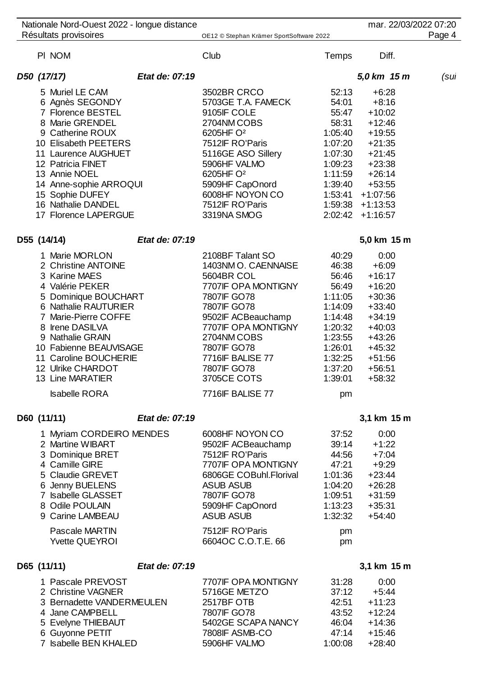| Nationale Nord-Ouest 2022 - longue distance                                                                                                                                                                                                                                                                  |                |                                                                                                                                                                                                                                                             |                                                                                                                                           | mar. 22/03/2022 07:20                                                                                                                                        |        |
|--------------------------------------------------------------------------------------------------------------------------------------------------------------------------------------------------------------------------------------------------------------------------------------------------------------|----------------|-------------------------------------------------------------------------------------------------------------------------------------------------------------------------------------------------------------------------------------------------------------|-------------------------------------------------------------------------------------------------------------------------------------------|--------------------------------------------------------------------------------------------------------------------------------------------------------------|--------|
| Résultats provisoires                                                                                                                                                                                                                                                                                        |                | OE12 © Stephan Krämer SportSoftware 2022                                                                                                                                                                                                                    |                                                                                                                                           |                                                                                                                                                              | Page 4 |
| PI NOM                                                                                                                                                                                                                                                                                                       |                | Club                                                                                                                                                                                                                                                        | Temps                                                                                                                                     | Diff.                                                                                                                                                        |        |
| D50 (17/17)                                                                                                                                                                                                                                                                                                  | Etat de: 07:19 |                                                                                                                                                                                                                                                             |                                                                                                                                           | 5,0 km 15 m                                                                                                                                                  | (sul   |
| 5 Muriel LE CAM<br>6 Agnès SEGONDY<br>7 Florence BESTEL<br>8 Marie GRENDEL<br>9 Catherine ROUX<br>10 Elisabeth PEETERS<br>11 Laurence AUGHUET<br>12 Patricia FINET<br>13 Annie NOEL<br>14 Anne-sophie ARROQUI<br>15 Sophie DUFEY<br>16 Nathalie DANDEL<br>17 Florence LAPERGUE                               |                | 3502BR CRCO<br>5703GE T.A. FAMECK<br>9105IF COLE<br>2704NM COBS<br>6205HF O <sup>2</sup><br>7512IF RO'Paris<br>5116GE ASO Sillery<br>5906HF VALMO<br>6205HF O <sup>2</sup><br>5909HF CapOnord<br>6008HF NOYON CO<br>7512IF RO'Paris<br>3319NA SMOG          | 52:13<br>54:01<br>55:47<br>58:31<br>1:05:40<br>1:07:20<br>1:07:30<br>1:09:23<br>1:11:59<br>1:39:40<br>1:53:41<br>1:59:38<br>2:02:42       | $+6:28$<br>$+8:16$<br>$+10:02$<br>$+12:46$<br>$+19:55$<br>$+21:35$<br>$+21:45$<br>$+23:38$<br>$+26:14$<br>$+53:55$<br>$+1:07:56$<br>$+1:13:53$<br>$+1:16:57$ |        |
| D55 (14/14)                                                                                                                                                                                                                                                                                                  | Etat de: 07:19 |                                                                                                                                                                                                                                                             |                                                                                                                                           | 5,0 km 15 m                                                                                                                                                  |        |
| 1 Marie MORLON<br>2 Christine ANTOINE<br>3 Karine MAES<br>4 Valérie PEKER<br>5 Dominique BOUCHART<br>6 Nathalie RAUTURIER<br>7 Marie-Pierre COFFE<br>8 Irene DASILVA<br>9 Nathalie GRAIN<br>10 Fabienne BEAUVISAGE<br>11 Caroline BOUCHERIE<br>12 Ulrike CHARDOT<br>13 Line MARATIER<br><b>Isabelle RORA</b> |                | 2108BF Talant SO<br>1403NM O. CAENNAISE<br>5604BR COL<br>7707IF OPA MONTIGNY<br>7807IF GO78<br>7807IF GO78<br>9502IF ACBeauchamp<br>7707IF OPA MONTIGNY<br>2704NM COBS<br>7807IF GO78<br>7716IF BALISE 77<br>7807IF GO78<br>3705CE COTS<br>7716IF BALISE 77 | 40:29<br>46:38<br>56:46<br>56:49<br>1:11:05<br>1:14:09<br>1:14:48<br>1:20:32<br>1:23:55<br>1:26:01<br>1:32:25<br>1:37:20<br>1:39:01<br>pm | 0:00<br>$+6:09$<br>$+16:17$<br>$+16:20$<br>$+30:36$<br>$+33:40$<br>$+34:19$<br>$+40:03$<br>$+43:26$<br>$+45:32$<br>$+51:56$<br>$+56:51$<br>$+58:32$          |        |
|                                                                                                                                                                                                                                                                                                              |                |                                                                                                                                                                                                                                                             |                                                                                                                                           |                                                                                                                                                              |        |
| D60 (11/11)<br>1 Myriam CORDEIRO MENDES<br>2 Martine WIBART<br>3 Dominique BRET<br>4 Camille GIRE<br>5 Claudie GREVET<br>6 Jenny BUELENS<br>7 Isabelle GLASSET<br>8 Odile POULAIN<br>9 Carine LAMBEAU<br>Pascale MARTIN<br><b>Yvette QUEYROI</b>                                                             | Etat de: 07:19 | 6008HF NOYON CO<br>9502IF ACBeauchamp<br>7512IF RO'Paris<br>7707IF OPA MONTIGNY<br>6806GE COBuhl.Florival<br><b>ASUB ASUB</b><br>7807IF GO78<br>5909HF CapOnord<br><b>ASUB ASUB</b><br>7512IF RO'Paris<br>6604OC C.O.T.E. 66                                | 37:52<br>39:14<br>44:56<br>47:21<br>1:01:36<br>1:04:20<br>1:09:51<br>1:13:23<br>1:32:32<br>pm<br>pm                                       | 3,1 km 15 m<br>0:00<br>$+1:22$<br>$+7:04$<br>$+9:29$<br>$+23:44$<br>$+26:28$<br>$+31:59$<br>$+35:31$<br>$+54:40$                                             |        |
| D65 (11/11)                                                                                                                                                                                                                                                                                                  | Etat de: 07:19 |                                                                                                                                                                                                                                                             |                                                                                                                                           | 3,1 km 15 m                                                                                                                                                  |        |

| 1 Pascale PREVOST         | 7707IF OPA MONTIGNY | 31:28   | 0:00     |
|---------------------------|---------------------|---------|----------|
| 2 Christine VAGNER        | 5716GE METZO        | 37:12   | $+5.44$  |
| 3 Bernadette VANDERMEULEN | 2517BF OTB          | 42:51   | $+11:23$ |
| 4 Jane CAMPBELL           | 7807IF GO78         | 43:52   | $+12:24$ |
| 5 Evelyne THIEBAUT        | 5402GE SCAPA NANCY  | 46:04   | $+14.36$ |
| 6 Guyonne PETIT           | 7808IF ASMB-CO      | 47:14   | $+15:46$ |
| 7 Isabelle BEN KHALED     | 5906HF VALMO        | 1:00:08 | $+28:40$ |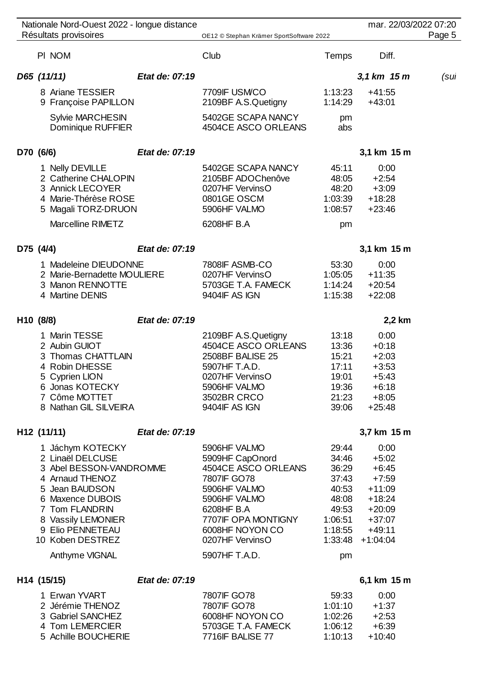| Nationale Nord-Ouest 2022 - longue distance                                                                                                                                                                                |                |                                                                                                                                                                                                   |                                                                                         | mar. 22/03/2022 07:20                                                                                                   |        |
|----------------------------------------------------------------------------------------------------------------------------------------------------------------------------------------------------------------------------|----------------|---------------------------------------------------------------------------------------------------------------------------------------------------------------------------------------------------|-----------------------------------------------------------------------------------------|-------------------------------------------------------------------------------------------------------------------------|--------|
| Résultats provisoires                                                                                                                                                                                                      |                | OE12 © Stephan Krämer SportSoftware 2022                                                                                                                                                          |                                                                                         |                                                                                                                         | Page 5 |
| PI NOM                                                                                                                                                                                                                     |                | Club                                                                                                                                                                                              | <b>Temps</b>                                                                            | Diff.                                                                                                                   |        |
| D65 (11/11)                                                                                                                                                                                                                | Etat de: 07:19 |                                                                                                                                                                                                   |                                                                                         | 3,1 km 15 m                                                                                                             | (sul   |
| 8 Ariane TESSIER<br>9 Françoise PAPILLON                                                                                                                                                                                   |                | 7709IF USM/CO<br>2109BF A.S.Quetigny                                                                                                                                                              | 1:13:23<br>1:14:29                                                                      | $+41:55$<br>$+43:01$                                                                                                    |        |
| <b>Sylvie MARCHESIN</b><br>Dominique RUFFIER                                                                                                                                                                               |                | 5402GE SCAPA NANCY<br>4504CE ASCO ORLEANS                                                                                                                                                         | pm<br>abs                                                                               |                                                                                                                         |        |
| D70 (6/6)                                                                                                                                                                                                                  | Etat de: 07:19 |                                                                                                                                                                                                   |                                                                                         | 3,1 km 15 m                                                                                                             |        |
| 1 Nelly DEVILLE<br>2 Catherine CHALOPIN<br>3 Annick LECOYER<br>4 Marie-Thérèse ROSE<br>5 Magali TORZ-DRUON<br>Marcelline RIMETZ                                                                                            |                | 5402GE SCAPA NANCY<br>2105BF ADOChenôve<br>0207HF VervinsO<br>0801GE OSCM<br>5906HF VALMO<br>6208HF B.A                                                                                           | 45:11<br>48:05<br>48:20<br>1:03:39<br>1:08:57<br>pm                                     | 0:00<br>$+2:54$<br>$+3:09$<br>$+18:28$<br>$+23:46$                                                                      |        |
| D75 (4/4)                                                                                                                                                                                                                  | Etat de: 07:19 |                                                                                                                                                                                                   |                                                                                         | 3,1 km 15 m                                                                                                             |        |
| 1 Madeleine DIEUDONNE<br>2 Marie-Bernadette MOULIERE<br>3 Manon RENNOTTE<br>4 Martine DENIS                                                                                                                                |                | 7808IF ASMB-CO<br>0207HF VervinsO<br>5703GE T.A. FAMECK<br>9404IF AS IGN                                                                                                                          | 53:30<br>1:05:05<br>1:14:24<br>1:15:38                                                  | 0:00<br>$+11:35$<br>$+20:54$<br>$+22:08$                                                                                |        |
| H10 (8/8)                                                                                                                                                                                                                  | Etat de: 07:19 |                                                                                                                                                                                                   |                                                                                         | 2,2 km                                                                                                                  |        |
| 1 Marin TESSE<br>2 Aubin GUIOT<br>3 Thomas CHATTLAIN<br>4 Robin DHESSE<br>5 Cyprien LION<br>6 Jonas KOTECKY<br>7 Côme MOTTET<br>8 Nathan GIL SILVEIRA                                                                      |                | 2109BF A.S.Quetigny<br>4504CE ASCO ORLEANS<br>2508BF BALISE 25<br>5907HF T.A.D.<br>0207HF VervinsO<br>5906HF VALMO<br>3502BR CRCO<br>9404IF AS IGN                                                | 13:18<br>13:36<br>15:21<br>17:11<br>19:01<br>19:36<br>21:23<br>39:06                    | 0:00<br>$+0:18$<br>$+2:03$<br>$+3:53$<br>$+5:43$<br>$+6:18$<br>$+8:05$<br>$+25:48$                                      |        |
| H12 (11/11)                                                                                                                                                                                                                | Etat de: 07:19 |                                                                                                                                                                                                   |                                                                                         | 3,7 km 15 m                                                                                                             |        |
| 1 Jáchym KOTECKY<br>2 Linaël DELCUSE<br>3 Abel BESSON-VANDROMME<br>4 Arnaud THENOZ<br>5 Jean BAUDSON<br>6 Maxence DUBOIS<br>7 Tom FLANDRIN<br>8 Vassily LEMONIER<br>9 Elio PENNETEAU<br>10 Koben DESTREZ<br>Anthyme VIGNAL |                | 5906HF VALMO<br>5909HF CapOnord<br>4504CE ASCO ORLEANS<br>7807IF GO78<br>5906HF VALMO<br>5906HF VALMO<br>6208HF B.A<br>7707IF OPA MONTIGNY<br>6008HF NOYON CO<br>0207HF VervinsO<br>5907HF T.A.D. | 29:44<br>34:46<br>36:29<br>37:43<br>40:53<br>48:08<br>49:53<br>1:06:51<br>1:18:55<br>pm | 0:00<br>$+5:02$<br>$+6:45$<br>$+7:59$<br>$+11:09$<br>$+18:24$<br>$+20:09$<br>$+37:07$<br>$+49:11$<br>$1:33:48$ +1:04:04 |        |
| H14 (15/15)                                                                                                                                                                                                                | Etat de: 07:19 |                                                                                                                                                                                                   |                                                                                         | 6,1 km 15 m                                                                                                             |        |
| $F_{\text{max}}$ $\mathcal{M}$ $\mathcal{M}$ $\mathbf{D}$                                                                                                                                                                  |                | <b>ZOOZIE COZO</b>                                                                                                                                                                                | rn.nn                                                                                   | 0.00                                                                                                                    |        |

| 1 Erwan YVART       | 7807 F GO78        | 59.33   | 0:00      |
|---------------------|--------------------|---------|-----------|
| 2 Jérémie THENOZ    | 7807 F GO78        | 1:01:10 | $+1:37$   |
| 3 Gabriel SANCHEZ   | 6008HF NOYON CO    | 1:02:26 | $+2.53$   |
| 4 Tom LEMERCIER     | 5703GE T.A. FAMECK | 1.06.12 | $+6.39$   |
| 5 Achille BOUCHERIE | 7716 F BALISE 77   | 1:10:13 | $+1()2()$ |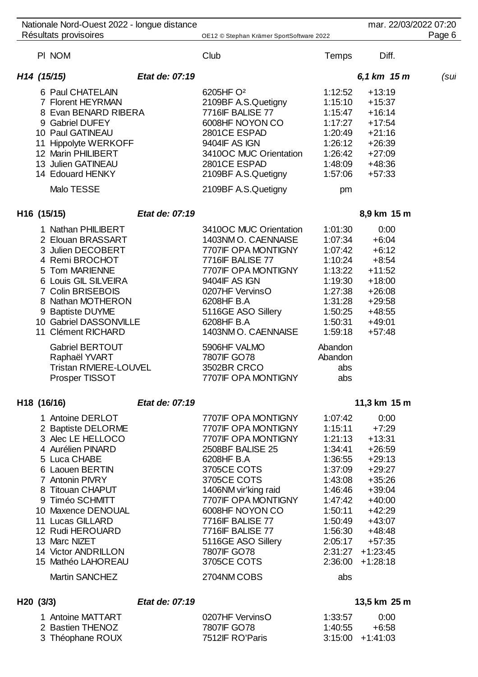|                                                                                                                                                                                                                                                                                     | Nationale Nord-Ouest 2022 - longue distance                                              |                                                                                                                                                                                                                                                                                                                |                                                                                                                                                                          |                                                                                                                                                                                 | mar. 22/03/2022 07:20 |
|-------------------------------------------------------------------------------------------------------------------------------------------------------------------------------------------------------------------------------------------------------------------------------------|------------------------------------------------------------------------------------------|----------------------------------------------------------------------------------------------------------------------------------------------------------------------------------------------------------------------------------------------------------------------------------------------------------------|--------------------------------------------------------------------------------------------------------------------------------------------------------------------------|---------------------------------------------------------------------------------------------------------------------------------------------------------------------------------|-----------------------|
| Résultats provisoires                                                                                                                                                                                                                                                               |                                                                                          | OE12 © Stephan Krämer SportSoftware 2022                                                                                                                                                                                                                                                                       |                                                                                                                                                                          |                                                                                                                                                                                 | Page 6                |
| PI NOM                                                                                                                                                                                                                                                                              |                                                                                          | Club                                                                                                                                                                                                                                                                                                           | Temps                                                                                                                                                                    | Diff.                                                                                                                                                                           |                       |
| H <sub>14</sub> (15/15)                                                                                                                                                                                                                                                             | Etat de: 07:19                                                                           |                                                                                                                                                                                                                                                                                                                |                                                                                                                                                                          | 6,1 km 15 m                                                                                                                                                                     | (sul                  |
| 6 Paul CHATELAIN<br>7 Florent HEYRMAN<br>9 Gabriel DUFEY<br>10 Paul GATINEAU<br>11<br>12 Marin PHILIBERT<br>13 Julien GATINEAU                                                                                                                                                      | 8 Evan BENARD RIBERA<br>Hippolyte WERKOFF                                                | 6205HF O <sup>2</sup><br>2109BF A.S.Quetigny<br>7716IF BALISE 77<br>6008HF NOYON CO<br>2801CE ESPAD<br>9404IF AS IGN<br>3410OC MUC Orientation<br>2801CE ESPAD                                                                                                                                                 | 1:12:52<br>1:15:10<br>1:15:47<br>1:17:27<br>1:20:49<br>1:26:12<br>1:26:42<br>1:48:09                                                                                     | $+13:19$<br>$+15:37$<br>$+16:14$<br>$+17:54$<br>$+21:16$<br>$+26:39$<br>$+27:09$<br>$+48:36$                                                                                    |                       |
| 14 Edouard HENKY                                                                                                                                                                                                                                                                    |                                                                                          | 2109BF A.S.Quetigny                                                                                                                                                                                                                                                                                            | 1:57:06                                                                                                                                                                  | $+57:33$                                                                                                                                                                        |                       |
| Malo TESSE                                                                                                                                                                                                                                                                          |                                                                                          | 2109BF A.S.Quetigny                                                                                                                                                                                                                                                                                            | pm                                                                                                                                                                       |                                                                                                                                                                                 |                       |
| H16 (15/15)                                                                                                                                                                                                                                                                         | Etat de: 07:19                                                                           |                                                                                                                                                                                                                                                                                                                |                                                                                                                                                                          | 8,9 km 15 m                                                                                                                                                                     |                       |
| 1 Nathan PHILIBERT<br>3 Julien DECOBERT<br>4 Remi BROCHOT<br>5 Tom MARIENNE<br>7 Colin BRISEBOIS<br>9 Baptiste DUYME<br>11 Clément RICHARD                                                                                                                                          | 2 Elouan BRASSART<br>6 Louis GIL SILVEIRA<br>8 Nathan MOTHERON<br>10 Gabriel DASSONVILLE | 3410OC MUC Orientation<br>1403NM O. CAENNAISE<br>7707IF OPA MONTIGNY<br>7716IF BALISE 77<br>7707IF OPA MONTIGNY<br>9404IF AS IGN<br>0207HF VervinsO<br>6208HF B.A<br>5116GE ASO Sillery<br>6208HF B.A<br>1403NM O. CAENNAISE                                                                                   | 1:01:30<br>1:07:34<br>1:07:42<br>1:10:24<br>1:13:22<br>1:19:30<br>1:27:38<br>1:31:28<br>1:50:25<br>1:50:31<br>1:59:18                                                    | 0:00<br>$+6:04$<br>$+6:12$<br>$+8:54$<br>$+11:52$<br>$+18:00$<br>$+26:08$<br>$+29:58$<br>$+48:55$<br>$+49:01$<br>$+57:48$                                                       |                       |
| Raphaël YVART<br>Prosper TISSOT                                                                                                                                                                                                                                                     | <b>Gabriel BERTOUT</b><br><b>Tristan RIVIERE-LOUVEL</b>                                  | 5906HF VALMO<br>7807IF GO78<br>3502BR CRCO<br>7707IF OPA MONTIGNY                                                                                                                                                                                                                                              | Abandon<br>Abandon<br>abs<br>abs                                                                                                                                         |                                                                                                                                                                                 |                       |
| H18 (16/16)                                                                                                                                                                                                                                                                         | Etat de: 07:19                                                                           |                                                                                                                                                                                                                                                                                                                |                                                                                                                                                                          | 11,3 km 15 m                                                                                                                                                                    |                       |
| 1 Antoine DERLOT<br>3 Alec LE HELLOCO<br>4 Aurélien PINARD<br>5 Luca CHABE<br>6 Laouen BERTIN<br>7 Antonin PIVRY<br>8 Titouan CHAPUT<br>9 Timéo SCHMITT<br>10 Maxence DENOUAL<br>11 Lucas GILLARD<br>12 Rudi HEROUARD<br>13 Marc NIZET<br>14 Victor ANDRILLON<br>15 Mathéo LAHOREAU | 2 Baptiste DELORME<br><b>Martin SANCHEZ</b>                                              | 7707IF OPA MONTIGNY<br>7707IF OPA MONTIGNY<br>7707IF OPA MONTIGNY<br>2508BF BALISE 25<br>6208HF B.A<br>3705CE COTS<br>3705CE COTS<br>1406NM vir'king raid<br>7707IF OPA MONTIGNY<br>6008HF NOYON CO<br>7716IF BALISE 77<br>7716IF BALISE 77<br>5116GE ASO Sillery<br>7807IF GO78<br>3705CE COTS<br>2704NM COBS | 1:07:42<br>1:15:11<br>1:21:13<br>1:34:41<br>1:36:55<br>1:37:09<br>1:43:08<br>1:46:46<br>1:47:42<br>1:50:11<br>1:50:49<br>1:56:30<br>2:05:17<br>2:31:27<br>2:36:00<br>abs | 0:00<br>$+7:29$<br>$+13:31$<br>$+26:59$<br>$+29:13$<br>$+29:27$<br>$+35:26$<br>$+39:04$<br>$+40:00$<br>$+42:29$<br>$+43:07$<br>$+48:48$<br>$+57:35$<br>$+1:23:45$<br>$+1:28:18$ |                       |
|                                                                                                                                                                                                                                                                                     |                                                                                          |                                                                                                                                                                                                                                                                                                                |                                                                                                                                                                          |                                                                                                                                                                                 |                       |
| H20(3/3)                                                                                                                                                                                                                                                                            | Etat de: 07:19                                                                           |                                                                                                                                                                                                                                                                                                                |                                                                                                                                                                          | 13,5 km 25 m                                                                                                                                                                    |                       |

# 1 Antoine MATTART 0207HF VervinsO 1:33:57 0:00<br>
2 Bastien THENOZ 7807IF GO78 1:40:55 +6:58 2 Bastien THENOZ 7807IF GO78 1:40:55 +6:58<br>3 Théophane ROUX 7512IF RO'Paris 3:15:00 +1:41:03 3 Théophane ROUX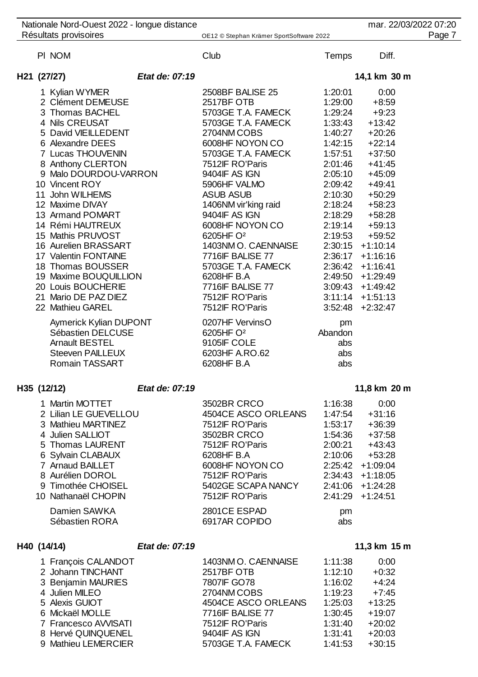| Nationale Nord-Ouest 2022 - longue distance |                                                                                                                                                                                                                                                                                           |                                                                                                                                           |                                                                                                                                                                                                                                                                                                                                                                                                |
|---------------------------------------------|-------------------------------------------------------------------------------------------------------------------------------------------------------------------------------------------------------------------------------------------------------------------------------------------|-------------------------------------------------------------------------------------------------------------------------------------------|------------------------------------------------------------------------------------------------------------------------------------------------------------------------------------------------------------------------------------------------------------------------------------------------------------------------------------------------------------------------------------------------|
|                                             |                                                                                                                                                                                                                                                                                           |                                                                                                                                           | Page 7                                                                                                                                                                                                                                                                                                                                                                                         |
| Club                                        | <b>Temps</b>                                                                                                                                                                                                                                                                              | Diff.                                                                                                                                     |                                                                                                                                                                                                                                                                                                                                                                                                |
| Etat de: 07:19                              |                                                                                                                                                                                                                                                                                           |                                                                                                                                           |                                                                                                                                                                                                                                                                                                                                                                                                |
|                                             |                                                                                                                                                                                                                                                                                           |                                                                                                                                           |                                                                                                                                                                                                                                                                                                                                                                                                |
|                                             |                                                                                                                                                                                                                                                                                           |                                                                                                                                           |                                                                                                                                                                                                                                                                                                                                                                                                |
|                                             |                                                                                                                                                                                                                                                                                           |                                                                                                                                           |                                                                                                                                                                                                                                                                                                                                                                                                |
|                                             |                                                                                                                                                                                                                                                                                           |                                                                                                                                           |                                                                                                                                                                                                                                                                                                                                                                                                |
|                                             |                                                                                                                                                                                                                                                                                           |                                                                                                                                           |                                                                                                                                                                                                                                                                                                                                                                                                |
|                                             |                                                                                                                                                                                                                                                                                           |                                                                                                                                           |                                                                                                                                                                                                                                                                                                                                                                                                |
|                                             |                                                                                                                                                                                                                                                                                           |                                                                                                                                           |                                                                                                                                                                                                                                                                                                                                                                                                |
| 7512IF RO'Paris                             | 2:01:46                                                                                                                                                                                                                                                                                   | $+41:45$                                                                                                                                  |                                                                                                                                                                                                                                                                                                                                                                                                |
|                                             | 2:05:10                                                                                                                                                                                                                                                                                   |                                                                                                                                           |                                                                                                                                                                                                                                                                                                                                                                                                |
| 5906HF VALMO                                | 2:09:42                                                                                                                                                                                                                                                                                   | $+49:41$                                                                                                                                  |                                                                                                                                                                                                                                                                                                                                                                                                |
| <b>ASUB ASUB</b>                            | 2:10:30                                                                                                                                                                                                                                                                                   | $+50:29$                                                                                                                                  |                                                                                                                                                                                                                                                                                                                                                                                                |
| 1406NM vir'king raid                        | 2:18:24                                                                                                                                                                                                                                                                                   | $+58:23$                                                                                                                                  |                                                                                                                                                                                                                                                                                                                                                                                                |
| 9404IF AS IGN                               | 2:18:29                                                                                                                                                                                                                                                                                   | $+58:28$                                                                                                                                  |                                                                                                                                                                                                                                                                                                                                                                                                |
| 6008HF NOYON CO                             | 2:19:14                                                                                                                                                                                                                                                                                   | $+59:13$                                                                                                                                  |                                                                                                                                                                                                                                                                                                                                                                                                |
| 6205HF O <sup>2</sup>                       |                                                                                                                                                                                                                                                                                           | $+59:52$                                                                                                                                  |                                                                                                                                                                                                                                                                                                                                                                                                |
| 1403NM O. CAENNAISE                         |                                                                                                                                                                                                                                                                                           |                                                                                                                                           |                                                                                                                                                                                                                                                                                                                                                                                                |
| 7716IF BALISE 77                            |                                                                                                                                                                                                                                                                                           |                                                                                                                                           |                                                                                                                                                                                                                                                                                                                                                                                                |
| 5703GE T.A. FAMECK                          |                                                                                                                                                                                                                                                                                           |                                                                                                                                           |                                                                                                                                                                                                                                                                                                                                                                                                |
| 6208HF B.A                                  |                                                                                                                                                                                                                                                                                           |                                                                                                                                           |                                                                                                                                                                                                                                                                                                                                                                                                |
| 7716IF BALISE 77                            |                                                                                                                                                                                                                                                                                           |                                                                                                                                           |                                                                                                                                                                                                                                                                                                                                                                                                |
| 7512IF RO'Paris                             |                                                                                                                                                                                                                                                                                           |                                                                                                                                           |                                                                                                                                                                                                                                                                                                                                                                                                |
| 7512IF RO'Paris                             |                                                                                                                                                                                                                                                                                           |                                                                                                                                           |                                                                                                                                                                                                                                                                                                                                                                                                |
|                                             |                                                                                                                                                                                                                                                                                           |                                                                                                                                           |                                                                                                                                                                                                                                                                                                                                                                                                |
|                                             |                                                                                                                                                                                                                                                                                           |                                                                                                                                           |                                                                                                                                                                                                                                                                                                                                                                                                |
|                                             |                                                                                                                                                                                                                                                                                           |                                                                                                                                           |                                                                                                                                                                                                                                                                                                                                                                                                |
|                                             |                                                                                                                                                                                                                                                                                           |                                                                                                                                           |                                                                                                                                                                                                                                                                                                                                                                                                |
| 6208HF B.A                                  | abs                                                                                                                                                                                                                                                                                       |                                                                                                                                           |                                                                                                                                                                                                                                                                                                                                                                                                |
| Etat de: 07:19                              |                                                                                                                                                                                                                                                                                           |                                                                                                                                           |                                                                                                                                                                                                                                                                                                                                                                                                |
|                                             |                                                                                                                                                                                                                                                                                           |                                                                                                                                           |                                                                                                                                                                                                                                                                                                                                                                                                |
|                                             |                                                                                                                                                                                                                                                                                           |                                                                                                                                           |                                                                                                                                                                                                                                                                                                                                                                                                |
|                                             |                                                                                                                                                                                                                                                                                           |                                                                                                                                           |                                                                                                                                                                                                                                                                                                                                                                                                |
| 3502BR CRCO                                 | 1:54:36                                                                                                                                                                                                                                                                                   | $+37:58$                                                                                                                                  |                                                                                                                                                                                                                                                                                                                                                                                                |
|                                             | 2508BF BALISE 25<br>2517BF OTB<br>5703GE T.A. FAMECK<br>5703GE T.A. FAMECK<br>2704NM COBS<br>6008HF NOYON CO<br>5703GE T.A. FAMECK<br>9404IF AS IGN<br>0207HF VervinsO<br>6205HF O <sup>2</sup><br>9105IF COLE<br>6203HF A.RO.62<br>3502BR CRCO<br>4504CE ASCO ORLEANS<br>7512IF RO'Paris | OE12 © Stephan Krämer SportSoftware 2022<br>1:20:01<br>1:29:00<br>1:29:24<br>1:42:15<br>pm<br>Abandon<br>abs<br>abs<br>1:16:38<br>1:53:17 | mar. 22/03/2022 07:20<br>14,1 km 30 m<br>0:00<br>$+8:59$<br>$+9:23$<br>$+13:42$<br>1:33:43<br>$+20:26$<br>1:40:27<br>$+22:14$<br>$+37:50$<br>1:57:51<br>$+45:09$<br>2:19:53<br>$2:30:15$ +1:10:14<br>$2:36:17$ +1:16:16<br>$2:36:42 +1:16:41$<br>2:49:50 +1:29:49<br>$3:09:43 +1:49:42$<br>$3:11:14 +1:51:13$<br>$3:52:48$ +2:32:47<br>11,8 km 20 m<br>0:00<br>1:47:54<br>$+31:16$<br>$+36:39$ |

| 4 Julien SALLIOT    | 3502BR CRCO        | 1:54:36            | $+37:58$           |
|---------------------|--------------------|--------------------|--------------------|
| 5 Thomas LAURENT    | 7512IF RO'Paris    | 2:00:21            | +43:43             |
| 6 Sylvain CLABAUX   | 6208HF B.A         | 2:10:06            | +53:28             |
| 7 Arnaud BAILLET    | 6008HF NOYON CO    | $2:25:42$ +1:09:04 |                    |
| 8 Aurélien DOROL    | 7512IF RO'Paris    | $2:34:43$ +1:18:05 |                    |
| 9 Timothée CHOISEL  | 5402GE SCAPA NANCY | $2:41:06$ +1:24:28 |                    |
| 10 Nathanaël CHOPIN | 7512IF RO'Paris    |                    | $2:41:29$ +1:24:51 |
|                     |                    |                    |                    |

Damien SAWKA 2801CE ESPAD pm Sébastien RORA 6917AR COPIDO abs

# **H40 (14/14)** *Etat de: 07:19* **11,3 km 15 m**

### 1 François CALANDOT 1403NM O. CAENNAISE 1:11:38 0:00<br>2 Johann TINCHANT 2517BF OTB 1:12:10 +0:32 Johann TINCHANT 2517BF OTB 1:12:10 +0:32 3 Benjamin MAURIES 7807IF GO78 1:16:02 +4:24<br>4 Julien MILEO 2704NM COBS 1:19:23 +7:45 4 Julien MILEO 2704NM COBS 1:19:23 + 7:45<br>5 Alexis GUIOT 4504CE ASCO ORLEANS 1:25:03 + 13:25 Alexis GUIOT 4504CE ASCO ORLEANS 1:25:03 +13:25 7716IF BALISE 77 1:30:45 +19:07<br>7512IF RO'Paris 1:31:40 +20:02 Francesco AVVISATI 7512IF RO'Paris 1:31:40 +20:02 Hervé QUINQUENEL 9404IF AS IGN 1:31:41 +20:03 9 Mathieu LEMERCIER 5703GE T.A. FAMECK 1:41:53 +30:15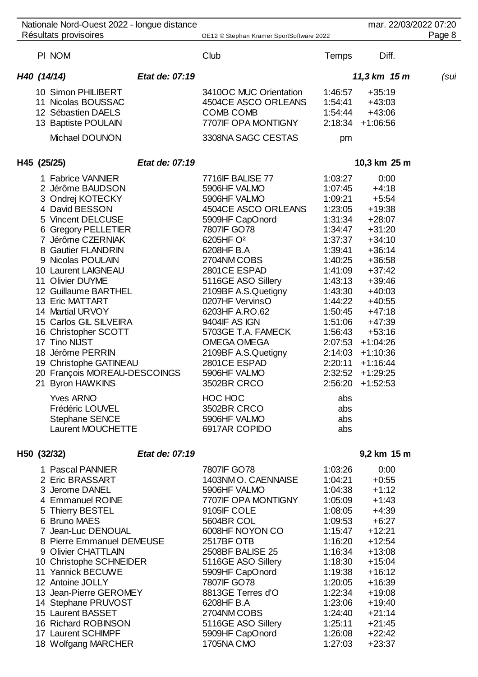| Nationale Nord-Ouest 2022 - longue distance                                                                                                                                                                                                                                                                                                                                                                                                                                                                                                                 |                |                                                                                                                                                                                                                                                                                                                                                                                                                                                          |                                                                                                                                                                                                                                                      | mar. 22/03/2022 07:20                                                                                                                                                                                                                                                 |        |
|-------------------------------------------------------------------------------------------------------------------------------------------------------------------------------------------------------------------------------------------------------------------------------------------------------------------------------------------------------------------------------------------------------------------------------------------------------------------------------------------------------------------------------------------------------------|----------------|----------------------------------------------------------------------------------------------------------------------------------------------------------------------------------------------------------------------------------------------------------------------------------------------------------------------------------------------------------------------------------------------------------------------------------------------------------|------------------------------------------------------------------------------------------------------------------------------------------------------------------------------------------------------------------------------------------------------|-----------------------------------------------------------------------------------------------------------------------------------------------------------------------------------------------------------------------------------------------------------------------|--------|
| Résultats provisoires                                                                                                                                                                                                                                                                                                                                                                                                                                                                                                                                       |                | OE12 © Stephan Krämer SportSoftware 2022                                                                                                                                                                                                                                                                                                                                                                                                                 |                                                                                                                                                                                                                                                      |                                                                                                                                                                                                                                                                       | Page 8 |
| PI NOM                                                                                                                                                                                                                                                                                                                                                                                                                                                                                                                                                      |                | Club                                                                                                                                                                                                                                                                                                                                                                                                                                                     | Temps                                                                                                                                                                                                                                                | Diff.                                                                                                                                                                                                                                                                 |        |
| H40 (14/14)                                                                                                                                                                                                                                                                                                                                                                                                                                                                                                                                                 | Etat de: 07:19 |                                                                                                                                                                                                                                                                                                                                                                                                                                                          |                                                                                                                                                                                                                                                      | 11,3 km 15 m                                                                                                                                                                                                                                                          | (sul   |
| 10 Simon PHILIBERT<br>11 Nicolas BOUSSAC<br>12 Sébastien DAELS<br>13 Baptiste POULAIN<br>Michael DOUNON                                                                                                                                                                                                                                                                                                                                                                                                                                                     |                | 3410OC MUC Orientation<br>4504CE ASCO ORLEANS<br><b>COMB COMB</b><br>7707IF OPA MONTIGNY<br>3308NA SAGC CESTAS                                                                                                                                                                                                                                                                                                                                           | 1:46:57<br>1:54:41<br>1:54:44<br>pm                                                                                                                                                                                                                  | $+35:19$<br>$+43:03$<br>$+43:06$<br>$2:18:34$ +1:06:56                                                                                                                                                                                                                |        |
| H45 (25/25)                                                                                                                                                                                                                                                                                                                                                                                                                                                                                                                                                 | Etat de: 07:19 |                                                                                                                                                                                                                                                                                                                                                                                                                                                          |                                                                                                                                                                                                                                                      | 10,3 km 25 m                                                                                                                                                                                                                                                          |        |
| 1 Fabrice VANNIER<br>2 Jérôme BAUDSON<br>3 Ondrej KOTECKY<br>4 David BESSON<br>5 Vincent DELCUSE<br>6 Gregory PELLETIER<br>7 Jérôme CZERNIAK<br>8 Gautier FLANDRIN<br>9 Nicolas POULAIN<br>10 Laurent LAIGNEAU<br>11 Olivier DUYME<br>12 Guillaume BARTHEL<br>13 Eric MATTART<br>14 Martial URVOY<br>15 Carlos GIL SILVEIRA<br>16 Christopher SCOTT<br>17 Tino NIJST<br>18 Jérôme PERRIN<br>19 Christophe GATINEAU<br>20 François MOREAU-DESCOINGS<br>21 Byron HAWKINS<br><b>Yves ARNO</b><br>Frédéric LOUVEL<br><b>Stephane SENCE</b><br>Laurent MOUCHETTE |                | 7716IF BALISE 77<br>5906HF VALMO<br>5906HF VALMO<br>4504CE ASCO ORLEANS<br>5909HF CapOnord<br>7807IF GO78<br>6205HF O <sup>2</sup><br>6208HF B.A<br>2704NM COBS<br>2801CE ESPAD<br>5116GE ASO Sillery<br>2109BF A.S.Quetigny<br>0207HF VervinsO<br>6203HF A.RO.62<br>9404IF AS IGN<br>5703GE T.A. FAMECK<br>OMEGA OMEGA<br>2109BF A.S.Quetigny<br>2801CE ESPAD<br>5906HF VALMO<br>3502BR CRCO<br>HOC HOC<br>3502BR CRCO<br>5906HF VALMO<br>6917AR COPIDO | 1:03:27<br>1:07:45<br>1:09:21<br>1:23:05<br>1:31:34<br>1:34:47<br>1:37:37<br>1:39:41<br>1:40:25<br>1:41:09<br>1:43:13<br>1:43:30<br>1:44:22<br>1:50:45<br>1:51:06<br>1:56:43<br>2:07:53<br>2:14:03<br>2:20:11<br>2:32:52<br>abs<br>abs<br>abs<br>abs | 0:00<br>$+4:18$<br>$+5:54$<br>$+19:38$<br>$+28:07$<br>$+31:20$<br>$+34:10$<br>$+36:14$<br>$+36:58$<br>$+37:42$<br>$+39:46$<br>$+40:03$<br>$+40:55$<br>$+47:18$<br>$+47:39$<br>$+53:16$<br>$+1:04:26$<br>$+1:10:36$<br>$+1:16:44$<br>$+1:29:25$<br>$2:56:20 + 1:52:53$ |        |
| H50 (32/32)                                                                                                                                                                                                                                                                                                                                                                                                                                                                                                                                                 | Etat de: 07:19 |                                                                                                                                                                                                                                                                                                                                                                                                                                                          |                                                                                                                                                                                                                                                      | 9,2 km 15 m                                                                                                                                                                                                                                                           |        |
| 1 Pascal PANNIER<br>2 Eric BRASSART<br>3 Jerome DANEL<br>4 Emmanuel ROINE<br>5 Thierry BESTEL<br>6 Bruno MAES<br>7 Jean-Luc DENOUAL<br>8 Pierre Emmanuel DEMEUSE<br>9 Olivier CHATTLAIN<br>10 Christophe SCHNEIDER<br>11 Yannick BECUWE<br>12 Antoine JOLLY<br>13 Jean-Pierre GEROMEY<br>14 Stephane PRUVOST<br>15 Laurent BASSET<br>16 Richard ROBINSON<br>17 Laurent SCHIMPF<br>18 Wolfgang MARCHER                                                                                                                                                       |                | 7807IF GO78<br>1403NM O. CAENNAISE<br>5906HF VALMO<br>7707IF OPA MONTIGNY<br>9105IF COLE<br>5604BR COL<br>6008HF NOYON CO<br>2517BF OTB<br>2508BF BALISE 25<br>5116GE ASO Sillery<br>5909HF CapOnord<br>7807IF GO78<br>8813GE Terres d'O<br>6208HF B.A<br>2704NM COBS<br>5116GE ASO Sillery<br>5909HF CapOnord<br>1705NA CMO                                                                                                                             | 1:03:26<br>1:04:21<br>1:04:38<br>1:05:09<br>1:08:05<br>1:09:53<br>1:15:47<br>1:16:20<br>1:16:34<br>1:18:30<br>1:19:38<br>1:20:05<br>1:22:34<br>1:23:06<br>1:24:40<br>1:25:11<br>1:26:08<br>1:27:03                                                   | 0:00<br>$+0:55$<br>$+1:12$<br>$+1:43$<br>$+4:39$<br>$+6:27$<br>$+12:21$<br>$+12:54$<br>$+13:08$<br>$+15:04$<br>$+16:12$<br>$+16:39$<br>$+19:08$<br>$+19:40$<br>$+21:14$<br>$+21:45$<br>$+22:42$<br>$+23:37$                                                           |        |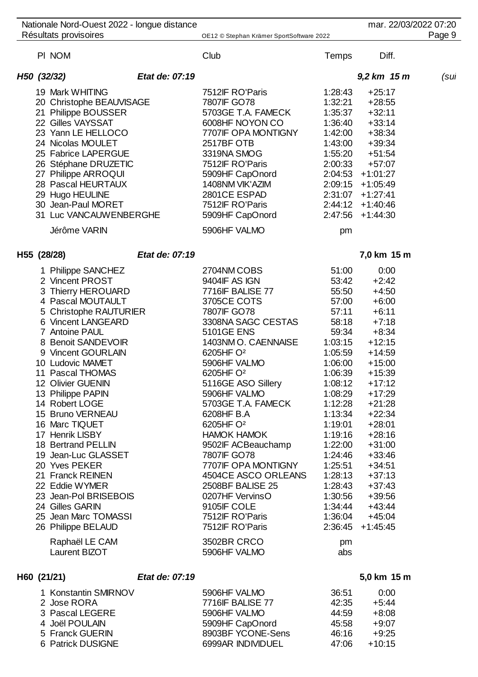|  | Nationale Nord-Ouest 2022 - longue distance |                |                                          |         | mar. 22/03/2022 07:20 |        |
|--|---------------------------------------------|----------------|------------------------------------------|---------|-----------------------|--------|
|  | Résultats provisoires                       |                | OE12 © Stephan Krämer SportSoftware 2022 |         |                       | Page 9 |
|  | PI NOM                                      |                | Club                                     | Temps   | Diff.                 |        |
|  | H50 (32/32)                                 | Etat de: 07:19 |                                          |         | 9,2 km 15 m           | (sul   |
|  | 19 Mark WHITING                             |                | 7512IF RO'Paris                          | 1:28:43 | $+25:17$              |        |
|  | 20 Christophe BEAUVISAGE                    |                | 7807IF GO78                              | 1:32:21 | $+28:55$              |        |
|  | 21 Philippe BOUSSER                         |                | 5703GE T.A. FAMECK                       | 1:35:37 | $+32:11$              |        |
|  | 22 Gilles VAYSSAT                           |                | 6008HF NOYON CO                          | 1:36:40 | $+33:14$              |        |
|  | 23 Yann LE HELLOCO                          |                | 7707IF OPA MONTIGNY                      | 1:42:00 | $+38:34$              |        |
|  | 24 Nicolas MOULET                           |                | 2517BF OTB                               | 1:43:00 | $+39:34$              |        |
|  | 25 Fabrice LAPERGUE                         |                | 3319NA SMOG                              | 1:55:20 | $+51:54$              |        |
|  | 26 Stéphane DRUZETIC                        |                | 7512IF RO'Paris                          | 2:00:33 | $+57:07$              |        |
|  | 27 Philippe ARROQUI                         |                | 5909HF CapOnord                          |         | $2:04:53$ +1:01:27    |        |
|  | 28 Pascal HEURTAUX                          |                | 1408NM VIK'AZIM                          |         | $2:09:15 +1:05:49$    |        |
|  | 29 Hugo HEULINE                             |                | 2801CE ESPAD                             |         | $2:31:07 + 1:27:41$   |        |
|  | 30 Jean-Paul MORET                          |                | 7512IF RO'Paris                          | 2:44:12 | $+1:40:46$            |        |
|  | 31 Luc VANCAUWENBERGHE                      |                | 5909HF CapOnord                          | 2:47:56 | $+1:44:30$            |        |
|  | Jérôme VARIN                                |                | 5906HF VALMO                             | pm      |                       |        |
|  |                                             |                |                                          |         |                       |        |
|  | H55 (28/28)                                 | Etat de: 07:19 |                                          |         | 7,0 km 15 m           |        |
|  | 1 Philippe SANCHEZ                          |                | 2704NM COBS                              | 51:00   | 0:00                  |        |
|  | 2 Vincent PROST                             |                | 9404IF AS IGN                            | 53:42   | $+2:42$               |        |
|  | 3 Thierry HEROUARD                          |                | 7716IF BALISE 77                         | 55:50   | $+4:50$               |        |
|  | 4 Pascal MOUTAULT                           |                | 3705CE COTS                              | 57:00   | $+6:00$               |        |
|  | 5 Christophe RAUTURIER                      |                | 7807IF GO78                              | 57:11   | $+6:11$               |        |
|  | 6 Vincent LANGEARD                          |                | 3308NA SAGC CESTAS                       | 58:18   | $+7:18$               |        |
|  | 7 Antoine PAUL                              |                | <b>5101GE ENS</b>                        | 59:34   | $+8:34$               |        |
|  | 8 Benoit SANDEVOIR                          |                | 1403NM O. CAENNAISE                      | 1:03:15 | $+12:15$              |        |
|  | 9 Vincent GOURLAIN                          |                | 6205HF O <sup>2</sup>                    | 1:05:59 | $+14:59$              |        |
|  | 10 Ludovic MAMET                            |                | 5906HF VALMO                             | 1:06:00 | $+15:00$              |        |
|  | 11 Pascal THOMAS                            |                | 6205HF O <sup>2</sup>                    | 1:06:39 | $+15:39$              |        |
|  | 12 Olivier GUENIN                           |                | 5116GE ASO Sillery                       | 1:08:12 | $+17:12$              |        |
|  | 13 Philippe PAPIN                           |                | 5906HF VALMO                             | 1:08:29 | $+17:29$              |        |
|  | 14 Robert LOGE                              |                | 5703GE T.A. FAMECK                       | 1:12:28 | $+21:28$              |        |
|  | 15 Bruno VERNEAU                            |                | 6208HF B.A                               | 1:13:34 | $+22:34$              |        |
|  | 16 Marc TIQUET                              |                | 6205HF O <sup>2</sup>                    | 1:19:01 | $+28:01$              |        |
|  | 17 Henrik LISBY                             |                | <b>HAMOK HAMOK</b>                       | 1:19:16 | $+28:16$              |        |
|  | 18 Bertrand PELLIN                          |                | 9502IF ACBeauchamp                       | 1:22:00 | $+31:00$              |        |
|  | 19 Jean-Luc GLASSET                         |                | 7807IF GO78                              | 1:24:46 | $+33:46$              |        |
|  | 20 Yves PEKER                               |                | 7707IF OPA MONTIGNY                      | 1:25:51 | $+34:51$              |        |
|  | 21 Franck REINEN                            |                | 4504CE ASCO ORLEANS                      | 1:28:13 | $+37:13$              |        |
|  | 22 Eddie WYMER                              |                | 2508BF BALISE 25                         | 1:28:43 | $+37:43$              |        |
|  | 23 Jean-Pol BRISEBOIS                       |                | 0207HF VervinsO                          | 1:30:56 | $+39:56$              |        |
|  | 24 Gilles GARIN                             |                | 9105IF COLE                              | 1:34:44 | $+43:44$              |        |
|  | 25 Jean Marc TOMASSI                        |                | 7512IF RO'Paris                          | 1:36:04 | $+45:04$              |        |
|  | 26 Philippe BELAUD                          |                | 7512IF RO'Paris                          | 2:36:45 | $+1:45:45$            |        |
|  | Raphaël LE CAM                              |                | 3502BR CRCO                              | pm      |                       |        |
|  | Laurent BIZOT                               |                | 5906HF VALMO                             | abs     |                       |        |
|  |                                             |                |                                          |         |                       |        |

# **H60 (21/21)** *Etat de: 07:19* **5,0 km 15 m**

| 1 Konstantin SMIRNOV | 5906HF VALMO            | 36:51 | 0:00     |
|----------------------|-------------------------|-------|----------|
| 2 Jose RORA          | <b>7716IF BALISE 77</b> | 42:35 | $+5:44$  |
| 3 Pascal LEGERE      | 5906HF VALMO            | 44:59 | +8:08    |
| 4 Joël POULAIN       | 5909HF CapOnord         | 45:58 | $+9:07$  |
| 5 Franck GUERIN      | 8903BF YCONE-Sens       | 46:16 | $+9.25$  |
| 6 Patrick DUSIGNE    | 6999AR INDIVIDUEL       | 47.06 | $+10:15$ |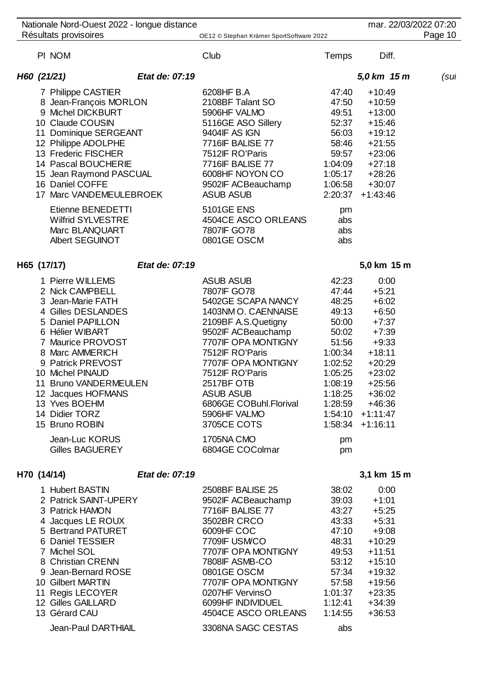|             | Nationale Nord-Ouest 2022 - longue distance                                                                                                                                                                                                                                                                                                             |                |                                                                                                                                                                                                                                                                                                                                           |                                                                                                                                           |                                                                                                                                                                                             | mar. 22/03/2022 07:20 |
|-------------|---------------------------------------------------------------------------------------------------------------------------------------------------------------------------------------------------------------------------------------------------------------------------------------------------------------------------------------------------------|----------------|-------------------------------------------------------------------------------------------------------------------------------------------------------------------------------------------------------------------------------------------------------------------------------------------------------------------------------------------|-------------------------------------------------------------------------------------------------------------------------------------------|---------------------------------------------------------------------------------------------------------------------------------------------------------------------------------------------|-----------------------|
|             | Résultats provisoires                                                                                                                                                                                                                                                                                                                                   |                | OE12 © Stephan Krämer SportSoftware 2022                                                                                                                                                                                                                                                                                                  |                                                                                                                                           |                                                                                                                                                                                             | Page 10               |
| PI NOM      |                                                                                                                                                                                                                                                                                                                                                         |                | Club                                                                                                                                                                                                                                                                                                                                      | Temps                                                                                                                                     | Diff.                                                                                                                                                                                       |                       |
| H60 (21/21) |                                                                                                                                                                                                                                                                                                                                                         | Etat de: 07:19 |                                                                                                                                                                                                                                                                                                                                           |                                                                                                                                           | 5,0 km 15 m                                                                                                                                                                                 | (sul                  |
|             | 7 Philippe CASTIER<br>8 Jean-François MORLON<br>9 Michel DICKBURT<br>10 Claude COUSIN<br>11 Dominique SERGEANT<br>12 Philippe ADOLPHE<br>13 Frederic FISCHER<br>14 Pascal BOUCHERIE<br>15 Jean Raymond PASCUAL<br>16 Daniel COFFE<br>17 Marc VANDEMEULEBROEK<br>Etienne BENEDETTI<br><b>Wilfrid SYLVESTRE</b><br>Marc BLANQUART                         |                | 6208HF B.A<br>2108BF Talant SO<br>5906HF VALMO<br>5116GE ASO Sillery<br>9404IF AS IGN<br>7716IF BALISE 77<br>7512IF RO'Paris<br>7716IF BALISE 77<br>6008HF NOYON CO<br>9502IF ACBeauchamp<br><b>ASUB ASUB</b><br><b>5101GE ENS</b><br>4504CE ASCO ORLEANS<br>7807IF GO78                                                                  | 47:40<br>47:50<br>49:51<br>52:37<br>56:03<br>58:46<br>59:57<br>1:04:09<br>1:05:17<br>1:06:58<br>2:20:37<br>pm<br>abs<br>abs               | $+10:49$<br>$+10:59$<br>$+13:00$<br>$+15:46$<br>$+19:12$<br>$+21:55$<br>$+23:06$<br>$+27:18$<br>$+28:26$<br>$+30:07$<br>$+1:43:46$                                                          |                       |
|             | <b>Albert SEGUINOT</b>                                                                                                                                                                                                                                                                                                                                  |                | 0801GE OSCM                                                                                                                                                                                                                                                                                                                               | abs                                                                                                                                       |                                                                                                                                                                                             |                       |
| H65 (17/17) |                                                                                                                                                                                                                                                                                                                                                         | Etat de: 07:19 |                                                                                                                                                                                                                                                                                                                                           |                                                                                                                                           | 5,0 km 15 m                                                                                                                                                                                 |                       |
|             | 1 Pierre WILLEMS<br>2 Nick CAMPBELL<br>3 Jean-Marie FATH<br>4 Gilles DESLANDES<br>5 Daniel PAPILLON<br>6 Hélier WIBART<br>7 Maurice PROVOST<br>8 Marc AMMERICH<br>9 Patrick PREVOST<br>10 Michel PINAUD<br>11 Bruno VANDERMEULEN<br>12 Jacques HOFMANS<br>13 Yves BOEHM<br>14 Didier TORZ<br>15 Bruno ROBIN<br>Jean-Luc KORUS<br><b>Gilles BAGUEREY</b> |                | <b>ASUB ASUB</b><br>7807IF GO78<br>5402GE SCAPA NANCY<br>1403NM O. CAENNAISE<br>2109BF A.S.Quetigny<br>9502IF ACBeauchamp<br>7707IF OPA MONTIGNY<br>7512IF RO'Paris<br>7707IF OPA MONTIGNY<br>7512IF RO'Paris<br>2517BF OTB<br><b>ASUB ASUB</b><br>6806GE COBuhl.Florival<br>5906HF VALMO<br>3705CE COTS<br>1705NA CMO<br>6804GE COColmar | 42:23<br>47:44<br>48:25<br>49:13<br>50:00<br>50:02<br>51:56<br>1:00:34<br>1:02:52<br>1:05:25<br>1:08:19<br>1:18:25<br>1:28:59<br>pm<br>pm | 0:00<br>$+5:21$<br>$+6:02$<br>$+6:50$<br>$+7:37$<br>$+7:39$<br>$+9:33$<br>$+18:11$<br>$+20:29$<br>$+23:02$<br>$+25:56$<br>$+36:02$<br>$+46:36$<br>$1:54:10 + 1:11:47$<br>$1:58:34$ +1:16:11 |                       |
|             |                                                                                                                                                                                                                                                                                                                                                         |                |                                                                                                                                                                                                                                                                                                                                           |                                                                                                                                           |                                                                                                                                                                                             |                       |
| H70 (14/14) | 1 Hubert BASTIN<br>2 Patrick SAINT-UPERY<br>3 Patrick HAMON<br>4 Jacques LE ROUX<br>5 Bertrand PATURET<br>6 Daniel TESSIER<br>7 Michel SOL<br>8 Christian CRENN<br>9 Jean-Bernard ROSE<br>10 Gilbert MARTIN<br>11 Regis LECOYER<br>12 Gilles GAILLARD<br>13 Gérard CAU<br>Jean-Paul DARTHIAIL                                                           | Etat de: 07:19 | 2508BF BALISE 25<br>9502IF ACBeauchamp<br>7716IF BALISE 77<br>3502BR CRCO<br>6009HF COC<br>7709IF USMCO<br>7707IF OPA MONTIGNY<br>7808IF ASMB-CO<br>0801GE OSCM<br>7707IF OPA MONTIGNY<br>0207HF VervinsO<br>6099HF INDIVIDUEL<br>4504CE ASCO ORLEANS<br>3308NA SAGC CESTAS                                                               | 38:02<br>39:03<br>43:27<br>43:33<br>47:10<br>48:31<br>49:53<br>53:12<br>57:34<br>57:58<br>1:01:37<br>1:12:41<br>1:14:55<br>abs            | 3,1 km 15 m<br>0:00<br>$+1:01$<br>$+5:25$<br>$+5:31$<br>$+9:08$<br>$+10:29$<br>$+11:51$<br>$+15:10$<br>$+19:32$<br>$+19:56$<br>$+23:35$<br>$+34:39$<br>$+36:53$                             |                       |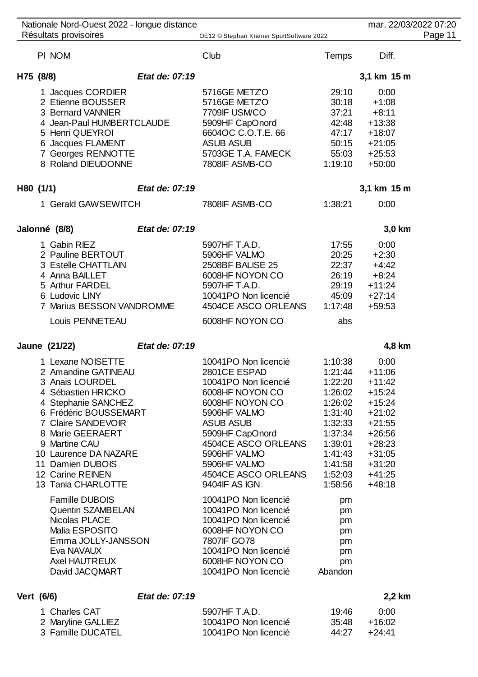| Nationale Nord-Ouest 2022 - longue distance<br>Résultats provisoires                                                                                                                                                                                                                |                | OE12 © Stephan Krämer SportSoftware 2022                                                                                                                                                                                                                 |                                                                                                                                             | mar. 22/03/2022 07:20                                                                                                                                | Page 11 |
|-------------------------------------------------------------------------------------------------------------------------------------------------------------------------------------------------------------------------------------------------------------------------------------|----------------|----------------------------------------------------------------------------------------------------------------------------------------------------------------------------------------------------------------------------------------------------------|---------------------------------------------------------------------------------------------------------------------------------------------|------------------------------------------------------------------------------------------------------------------------------------------------------|---------|
| PI NOM                                                                                                                                                                                                                                                                              |                | Club                                                                                                                                                                                                                                                     | Temps                                                                                                                                       | Diff.                                                                                                                                                |         |
| H75 (8/8)                                                                                                                                                                                                                                                                           | Etat de: 07:19 |                                                                                                                                                                                                                                                          |                                                                                                                                             | 3,1 km 15 m                                                                                                                                          |         |
| 1 Jacques CORDIER<br>2 Etienne BOUSSER<br>3 Bernard VANNIER<br>4 Jean-Paul HUMBERTCLAUDE<br>5 Henri QUEYROI<br>6 Jacques FLAMENT<br>7 Georges RENNOTTE<br>8 Roland DIEUDONNE                                                                                                        |                | 5716GE METZO<br>5716GE METZO<br>7709IF USM/CO<br>5909HF CapOnord<br>6604OC C.O.T.E. 66<br><b>ASUB ASUB</b><br>5703GE T.A. FAMECK<br>7808IF ASMB-CO                                                                                                       | 29:10<br>30:18<br>37:21<br>42:48<br>47:17<br>50:15<br>55:03<br>1:19:10                                                                      | 0:00<br>$+1:08$<br>$+8:11$<br>$+13:38$<br>$+18:07$<br>$+21:05$<br>$+25:53$<br>$+50:00$                                                               |         |
| H80 (1/1)                                                                                                                                                                                                                                                                           | Etat de: 07:19 |                                                                                                                                                                                                                                                          |                                                                                                                                             | 3,1 km 15 m                                                                                                                                          |         |
| 1 Gerald GAWSEWITCH                                                                                                                                                                                                                                                                 |                | 7808IF ASMB-CO                                                                                                                                                                                                                                           | 1:38:21                                                                                                                                     | 0:00                                                                                                                                                 |         |
| Jalonné (8/8)                                                                                                                                                                                                                                                                       | Etat de: 07:19 |                                                                                                                                                                                                                                                          |                                                                                                                                             | 3,0 km                                                                                                                                               |         |
| 1 Gabin RIEZ<br>2 Pauline BERTOUT<br>3 Estelle CHATTLAIN<br>4 Anna BAILLET<br>5 Arthur FARDEL<br>6 Ludovic LINY<br>7 Marius BESSON VANDROMME<br>Louis PENNETEAU                                                                                                                     |                | 5907HF T.A.D.<br>5906HF VALMO<br>2508BF BALISE 25<br>6008HF NOYON CO<br>5907HF T.A.D.<br>10041PO Non licencié<br>4504CE ASCO ORLEANS<br>6008HF NOYON CO                                                                                                  | 17:55<br>20:25<br>22:37<br>26:19<br>29:19<br>45:09<br>1:17:48<br>abs                                                                        | 0:00<br>$+2:30$<br>$+4:42$<br>$+8:24$<br>$+11:24$<br>$+27:14$<br>$+59:53$                                                                            |         |
| Jaune (21/22)                                                                                                                                                                                                                                                                       | Etat de: 07:19 |                                                                                                                                                                                                                                                          |                                                                                                                                             | 4,8 km                                                                                                                                               |         |
| 1 Lexane NOISETTE<br>2 Amandine GATINEAU<br>3 Anais LOURDEL<br>4 Sébastien HRICKO<br>4 Stephanie SANCHEZ<br>6 Frédéric BOUSSEMART<br>7 Claire SANDEVOIR<br>8 Marie GEERAERT<br>9 Martine CAU<br>10 Laurence DA NAZARE<br>11 Damien DUBOIS<br>12 Carine REINEN<br>13 Tania CHARLOTTE |                | 10041PO Non licencié<br>2801CE ESPAD<br>10041PO Non licencié<br>6008HF NOYON CO<br>6008HF NOYON CO<br>5906HF VALMO<br><b>ASUB ASUB</b><br>5909HF CapOnord<br>4504CE ASCO ORLEANS<br>5906HF VALMO<br>5906HF VALMO<br>4504CE ASCO ORLEANS<br>9404IF AS IGN | 1:10:38<br>1:21:44<br>1:22:20<br>1:26:02<br>1:26:02<br>1:31:40<br>1:32:33<br>1:37:34<br>1:39:01<br>1:41:43<br>1:41:58<br>1:52:03<br>1:58:56 | 0:00<br>$+11:06$<br>$+11:42$<br>$+15:24$<br>$+15:24$<br>$+21:02$<br>$+21:55$<br>$+26:56$<br>$+28:23$<br>$+31:05$<br>$+31:20$<br>$+41:25$<br>$+48:18$ |         |
| <b>Famille DUBOIS</b><br>Quentin SZAMBELAN<br>Nicolas PLACE<br>Malia ESPOSITO<br>Emma JOLLY-JANSSON<br>Eva NAVAUX<br><b>Axel HAUTREUX</b><br>David JACQMART                                                                                                                         |                | 10041PO Non licencié<br>10041PO Non licencié<br>10041PO Non licencié<br>6008HF NOYON CO<br>7807IF GO78<br>10041PO Non licencié<br>6008HF NOYON CO<br>10041PO Non licencié                                                                                | pm<br>pm<br>pm<br>pm<br>pm<br>pm<br>pm<br>Abandon                                                                                           |                                                                                                                                                      |         |
| Vert (6/6)                                                                                                                                                                                                                                                                          | Etat de: 07:19 |                                                                                                                                                                                                                                                          |                                                                                                                                             | 2,2 km                                                                                                                                               |         |

## Charles CAT 5907HF T.A.D. 19:46 0:00 Maryline GALLIEZ 10041PO Non licencié 35:48 +16:02 10041PO Non licencié 44:2

| 16 | 0:00   |
|----|--------|
| 18 | +16:02 |
| 27 | +24:41 |